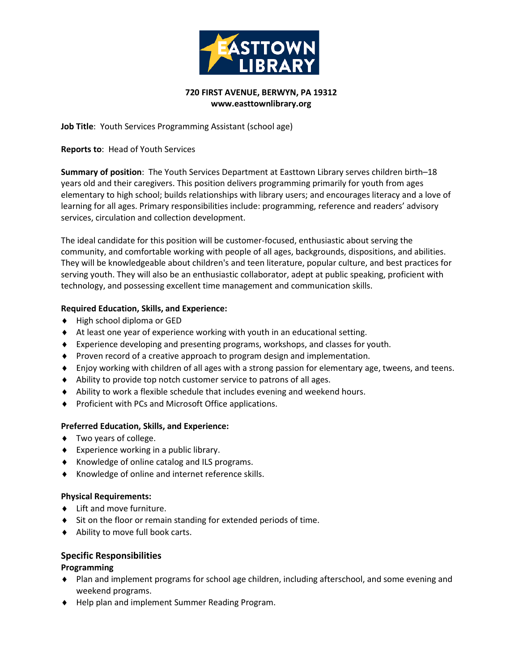

### **720 FIRST AVENUE, BERWYN, PA 19312 www.easttownlibrary.org**

**Job Title**: Youth Services Programming Assistant (school age)

**Reports to**: Head of Youth Services

**Summary of position**: The Youth Services Department at Easttown Library serves children birth–18 years old and their caregivers. This position delivers programming primarily for youth from ages elementary to high school; builds relationships with library users; and encourages literacy and a love of learning for all ages. Primary responsibilities include: programming, reference and readers' advisory services, circulation and collection development.

The ideal candidate for this position will be customer-focused, enthusiastic about serving the community, and comfortable working with people of all ages, backgrounds, dispositions, and abilities. They will be knowledgeable about children's and teen literature, popular culture, and best practices for serving youth. They will also be an enthusiastic collaborator, adept at public speaking, proficient with technology, and possessing excellent time management and communication skills.

## **Required Education, Skills, and Experience:**

- ♦ High school diploma or GED
- ♦ At least one year of experience working with youth in an educational setting.
- ♦ Experience developing and presenting programs, workshops, and classes for youth.
- ♦ Proven record of a creative approach to program design and implementation.
- ♦ Enjoy working with children of all ages with a strong passion for elementary age, tweens, and teens.
- ♦ Ability to provide top notch customer service to patrons of all ages.
- ♦ Ability to work a flexible schedule that includes evening and weekend hours.
- ♦ Proficient with PCs and Microsoft Office applications.

#### **Preferred Education, Skills, and Experience:**

- ♦ Two years of college.
- ♦ Experience working in a public library.
- ♦ Knowledge of online catalog and ILS programs.
- ♦ Knowledge of online and internet reference skills.

#### **Physical Requirements:**

- ♦ Lift and move furniture.
- ♦ Sit on the floor or remain standing for extended periods of time.
- ♦ Ability to move full book carts.

# **Specific Responsibilities**

#### **Programming**

- ♦ Plan and implement programs for school age children, including afterschool, and some evening and weekend programs.
- ♦ Help plan and implement Summer Reading Program.